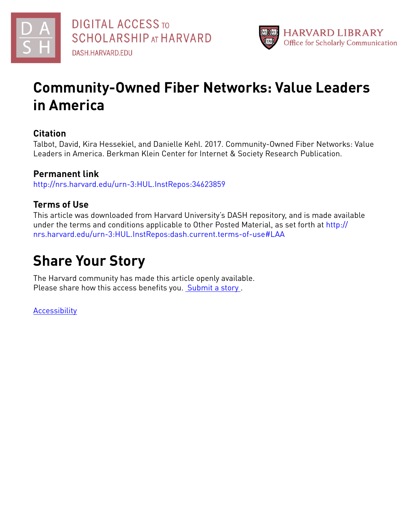



# **Community-Owned Fiber Networks: Value Leaders in America**

# **Citation**

Talbot, David, Kira Hessekiel, and Danielle Kehl. 2017. Community-Owned Fiber Networks: Value Leaders in America. Berkman Klein Center for Internet & Society Research Publication.

# **Permanent link**

<http://nrs.harvard.edu/urn-3:HUL.InstRepos:34623859>

# **Terms of Use**

This article was downloaded from Harvard University's DASH repository, and is made available under the terms and conditions applicable to Other Posted Material, as set forth at [http://](http://nrs.harvard.edu/urn-3:HUL.InstRepos:dash.current.terms-of-use#LAA) [nrs.harvard.edu/urn-3:HUL.InstRepos:dash.current.terms-of-use#LAA](http://nrs.harvard.edu/urn-3:HUL.InstRepos:dash.current.terms-of-use#LAA)

# **Share Your Story**

The Harvard community has made this article openly available. Please share how this access benefits you. [Submit](http://osc.hul.harvard.edu/dash/open-access-feedback?handle=&title=Community-Owned%20Fiber%20Networks:%20Value%20Leaders%20in%20America&community=1/3874488&collection=1/13015057&owningCollection1/13015057&harvardAuthors=fc2b5f2f94b7ba2cc0698196f5c01e69&department) a story .

[Accessibility](https://dash.harvard.edu/pages/accessibility)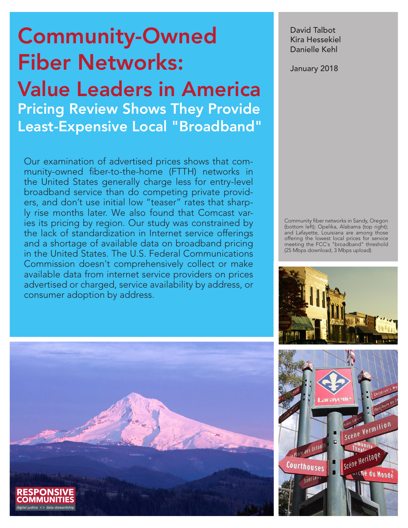# Community-Owned Fiber Networks:

Value Leaders in America Pricing Review Shows They Provide Least-Expensive Local "Broadband"

Our examination of advertised prices shows that community-owned fiber-to-the-home (FTTH) networks in the United States generally charge less for entry-level broadband service than do competing private providers, and don't use initial low "teaser" rates that sharply rise months later. We also found that Comcast varies its pricing by region. Our study was constrained by the lack of standardization in Internet service offerings and a shortage of available data on broadband pricing in the United States. The U.S. Federal Communications Commission doesn't comprehensively collect or make available data from internet service providers on prices advertised or charged, service availability by address, or consumer adoption by address.

David Talbot Kira Hessekiel Danielle Kehl

January 2018

Community fiber networks in Sandy, Oregon (bottom left); Opelika, Alabama (top right); and Lafayette, Louisiana are among those offering the lowest local prices for service meeting the FCC's "broadband" threshold (25 Mbps download, 3 Mbps upload).





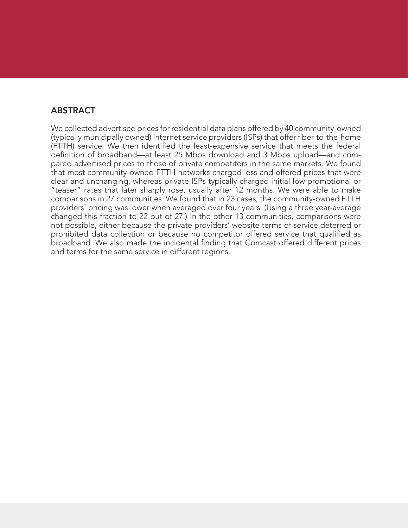# **ABSTRACT**

We collected advertised prices for residential data plans offered by 40 community-owned (typically municipally owned) Internet service providers (ISPs) that offer fiber-to-the-home (FTTH) service. We then identified the least-expensive service that meets the federal definition of broadband—at least 25 Mbps download and 3 Mbps upload—and compared advertised prices to those of private competitors in the same markets. We found that most community-owned FTTH networks charged less and offered prices that were clear and unchanging, whereas private ISPs typically charged initial low promotional or "teaser" rates that later sharply rose, usually after 12 months. We were able to make comparisons in 27 communities. We found that in 23 cases, the community-owned FTTH providers' pricing was lower when averaged over four years. (Using a three year-average changed this fraction to 22 out of 27.) In the other 13 communities, comparisons were not possible, either because the private providers' website terms of service deterred or prohibited data collection or because no competitor offered service that qualified as broadband. We also made the incidental finding that Comcast offered different prices and terms for the same service in different regions.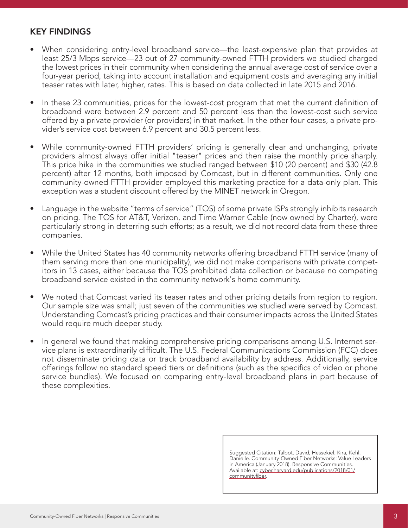# KEY FINDINGS

- When considering entry-level broadband service—the least-expensive plan that provides at least 25/3 Mbps service—23 out of 27 community-owned FTTH providers we studied charged the lowest prices in their community when considering the annual average cost of service over a four-year period, taking into account installation and equipment costs and averaging any initial teaser rates with later, higher, rates. This is based on data collected in late 2015 and 2016.
- In these 23 communities, prices for the lowest-cost program that met the current definition of broadband were between 2.9 percent and 50 percent less than the lowest-cost such service offered by a private provider (or providers) in that market. In the other four cases, a private provider's service cost between 6.9 percent and 30.5 percent less.
- While community-owned FTTH providers' pricing is generally clear and unchanging, private providers almost always offer initial "teaser" prices and then raise the monthly price sharply. This price hike in the communities we studied ranged between \$10 (20 percent) and \$30 (42.8 percent) after 12 months, both imposed by Comcast, but in different communities. Only one community-owned FTTH provider employed this marketing practice for a data-only plan. This exception was a student discount offered by the MINET network in Oregon.
- Language in the website "terms of service" (TOS) of some private ISPs strongly inhibits research on pricing. The TOS for AT&T, Verizon, and Time Warner Cable (now owned by Charter), were particularly strong in deterring such efforts; as a result, we did not record data from these three companies.
- While the United States has 40 community networks offering broadband FTTH service (many of them serving more than one municipality), we did not make comparisons with private competitors in 13 cases, either because the TOS prohibited data collection or because no competing broadband service existed in the community network's home community.
- We noted that Comcast varied its teaser rates and other pricing details from region to region. Our sample size was small; just seven of the communities we studied were served by Comcast. Understanding Comcast's pricing practices and their consumer impacts across the United States would require much deeper study.
- In general we found that making comprehensive pricing comparisons among U.S. Internet service plans is extraordinarily difficult. The U.S. Federal Communications Commission (FCC) does not disseminate pricing data or track broadband availability by address. Additionally, service offerings follow no standard speed tiers or definitions (such as the specifics of video or phone service bundles). We focused on comparing entry-level broadband plans in part because of these complexities.

Suggested Citation: Talbot, David, Hessekiel, Kira, Kehl, Danielle. Community-Owned Fiber Networks: Value Leaders in America (January 2018). Responsive Communities. Available at: cyber.harvard.edu/publications/2018/01/ communityfiber.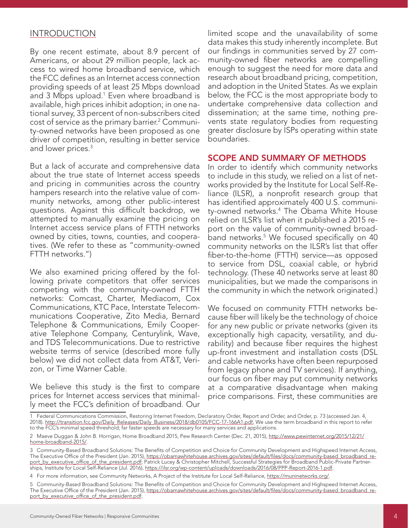#### INTRODUCTION

By one recent estimate, about 8.9 percent of Americans, or about 29 million people, lack access to wired home broadband service, which the FCC defines as an Internet access connection providing speeds of at least 25 Mbps download and 3 Mbps upload.1 Even where broadband is available, high prices inhibit adoption; in one national survey, 33 percent of non-subscribers cited cost of service as the primary barrier.<sup>2</sup> Community-owned networks have been proposed as one driver of competition, resulting in better service and lower prices.3

But a lack of accurate and comprehensive data about the true state of Internet access speeds and pricing in communities across the country hampers research into the relative value of community networks, among other public-interest questions. Against this difficult backdrop, we attempted to manually examine the pricing on Internet access service plans of FTTH networks owned by cities, towns, counties, and cooperatives. (We refer to these as "community-owned FTTH networks.")

We also examined pricing offered by the following private competitors that offer services competing with the community-owned FTTH networks: Comcast, Charter, Mediacom, Cox Communications, KTC Pace, Interstate Telecommunications Cooperative, Zito Media, Bernard Telephone & Communications, Emily Cooperative Telephone Company, Centurylink, Wave, and TDS Telecommunications. Due to restrictive website terms of service (described more fully below) we did not collect data from AT&T, Verizon, or Time Warner Cable.

We believe this study is the first to compare prices for Internet access services that minimally meet the FCC's definition of broadband. Our limited scope and the unavailability of some data makes this study inherently incomplete. But our findings in communities served by 27 community-owned fiber networks are compelling enough to suggest the need for more data and research about broadband pricing, competition, and adoption in the United States. As we explain below, the FCC is the most appropriate body to undertake comprehensive data collection and dissemination; at the same time, nothing prevents state regulatory bodies from requesting greater disclosure by ISPs operating within state boundaries.

#### SCOPE AND SUMMARY OF METHODS

In order to identify which community networks to include in this study, we relied on a list of networks provided by the Institute for Local Self-Reliance (ILSR), a nonprofit research group that has identified approximately 400 U.S. community-owned networks.4 The Obama White House relied on ILSR's list when it published a 2015 report on the value of community-owned broadband networks.5 We focused specifically on 40 community networks on the ILSR's list that offer fiber-to-the-home (FTTH) service—as opposed to service from DSL, coaxial cable, or hybrid technology. (These 40 networks serve at least 80 municipalities, but we made the comparisons in the community in which the network originated.)

We focused on community FTTH networks because fiber will likely be the technology of choice for any new public or private networks (given its exceptionally high capacity, versatility, and durability) and because fiber requires the highest up-front investment and installation costs (DSL and cable networks have often been repurposed from legacy phone and TV services). If anything, our focus on fiber may put community networks at a comparative disadvantage when making price comparisons. First, these communities are

Federal Communications Commission, Restoring Internet Freedom, Declaratory Order, Report and Order, and Order, p. 73 (accessed Jan. 4, 2018). http://transition.fcc.gov/Daily\_Releases/Daily\_Business/2018/db0105/FCC-17-166A1.pdf, We use the term broadband in this report to refer to the FCC's minimal speed threshold; far faster speeds are necessary for many services and applications.

<sup>2</sup> Maeve Duggan & John B. Horrigan, Home Broadband 2015, Pew Research Center (Dec. 21, 2015), http://www.pewinternet.org/2015/12/21/ home-broadband-2015/.

<sup>3</sup> Community-Based Broadband Solutions: The Benefits of Competition and Choice for Community Development and Highspeed Internet Access, The Executive Office of the President (Jan. 2015), https://obamawhitehouse.archives.gov/sites/default/files/docs/community-based\_broadband\_repor<u>t\_by\_executive\_office\_of\_the\_president.pdf</u>; Patrick Lucey & Christopher Mitchell, Successful Strategies for Broadband Public-Private Partnerships, Institute for Local Self-Reliance (Jul. 2016), https://ilsr.org/wp-content/uploads/downloads/2016/08/PPP-Report-2016-1.pdf.

<sup>4</sup> For more information, see Community Networks, A Project of the Institute for Local Self-Reliance, https://muninetworks.org/.

<sup>5</sup> Community-Based Broadband Solutions: The Benefits of Competition and Choice for Community Development and Highspeed Internet Access, The Executive Office of the President (Jan. 2015), https://obamawhitehouse.archives.gov/sites/default/files/docs/community-based\_broadband\_report by executive office of the president.pdf.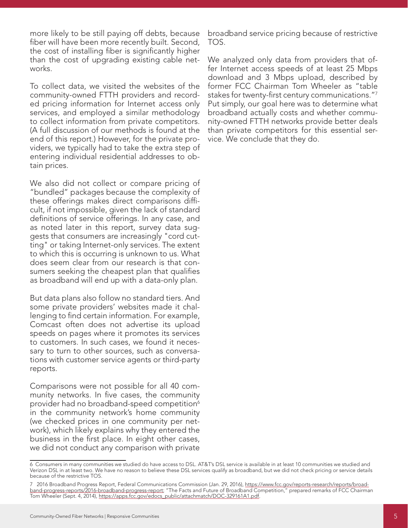more likely to be still paying off debts, because fiber will have been more recently built. Second, the cost of installing fiber is significantly higher than the cost of upgrading existing cable networks.

To collect data, we visited the websites of the community-owned FTTH providers and recorded pricing information for Internet access only services, and employed a similar methodology to collect information from private competitors. (A full discussion of our methods is found at the end of this report.) However, for the private providers, we typically had to take the extra step of entering individual residential addresses to obtain prices.

We also did not collect or compare pricing of "bundled" packages because the complexity of these offerings makes direct comparisons difficult, if not impossible, given the lack of standard definitions of service offerings. In any case, and as noted later in this report, survey data suggests that consumers are increasingly "cord cutting" or taking Internet-only services. The extent to which this is occurring is unknown to us. What does seem clear from our research is that consumers seeking the cheapest plan that qualifies as broadband will end up with a data-only plan.

But data plans also follow no standard tiers. And some private providers' websites made it challenging to find certain information. For example, Comcast often does not advertise its upload speeds on pages where it promotes its services to customers. In such cases, we found it necessary to turn to other sources, such as conversations with customer service agents or third-party reports.

Comparisons were not possible for all 40 community networks. In five cases, the community provider had no broadband-speed competition<sup>6</sup> in the community network's home community (we checked prices in one community per network), which likely explains why they entered the business in the first place. In eight other cases, we did not conduct any comparison with private

broadband service pricing because of restrictive TOS.

We analyzed only data from providers that offer Internet access speeds of at least 25 Mbps download and 3 Mbps upload, described by former FCC Chairman Tom Wheeler as "table stakes for twenty-first century communications."<sup>7</sup> Put simply, our goal here was to determine what broadband actually costs and whether community-owned FTTH networks provide better deals than private competitors for this essential service. We conclude that they do.

<sup>6</sup> Consumers in many communities we studied do have access to DSL. AT&T's DSL service is available in at least 10 communities we studied and Verizon DSL in at least two. We have no reason to believe these DSL services qualify as broadband, but we did not check pricing or service details because of the restrictive TOS.

<sup>7 2016</sup> Broadband Progress Report, Federal Communications Commission (Jan. 29, 2016), https://www.fcc.gov/reports-research/reports/broadband-progress-reports/2016-broadband-progress-report; "The Facts and Future of Broadband Competition," prepared remarks of FCC Chairman Tom Wheeler (Sept. 4, 2014), https://apps.fcc.gov/edocs\_public/attachmatch/DOC-329161A1.pdf.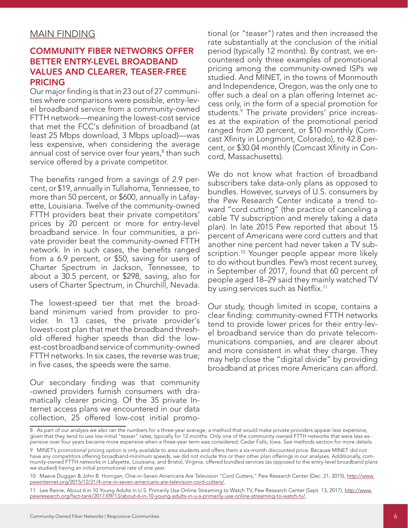# MAIN FINDING

# COMMUNITY FIBER NETWORKS OFFER BETTER ENTRY-LEVEL BROADBAND VALUES AND CLEARER, TEASER-FREE PRICING

Our major finding is that in 23 out of 27 communities where comparisons were possible, entry-level broadband service from a community-owned FTTH network—meaning the lowest-cost service that met the FCC's definition of broadband (at least 25 Mbps download, 3 Mbps upload)—was less expensive, when considering the average annual cost of service over four years,<sup>8</sup> than such service offered by a private competitor.

The benefits ranged from a savings of 2.9 percent, or \$19, annually in Tullahoma, Tennessee, to more than 50 percent, or \$600, annually in Lafayette, Louisiana. Twelve of the community-owned FTTH providers beat their private competitors' prices by 20 percent or more for entry-level broadband service. In four communities, a private provider beat the community-owned FTTH network. In in such cases, the benefits ranged from a 6.9 percent, or \$50, saving for users of Charter Spectrum in Jackson, Tennessee, to about a 30.5 percent, or \$298, saving, also for users of Charter Spectrum, in Churchill, Nevada.

The lowest-speed tier that met the broadband minimum varied from provider to provider. In 13 cases, the private provider's lowest-cost plan that met the broadband threshold offered higher speeds than did the lowest-cost broadband service of community-owned FTTH networks. In six cases, the reverse was true; in five cases, the speeds were the same.

Our secondary finding was that community -owned providers furnish consumers with dramatically clearer pricing. Of the 35 private Internet access plans we encountered in our data collection, 25 offered low-cost initial promotional (or "teaser") rates and then increased the rate substantially at the conclusion of the initial period (typically 12 months). By contrast, we encountered only three examples of promotional pricing among the community-owned ISPs we studied. And MINET, in the towns of Monmouth and Independence, Oregon, was the only one to offer such a deal on a plan offering Internet access only, in the form of a special promotion for students.9 The private providers' price increases at the expiration of the promotional period ranged from 20 percent, or \$10 monthly (Comcast Xfinity in Longmont, Colorado), to 42.8 percent, or \$30.04 monthly (Comcast Xfinity in Concord, Massachusetts).

We do not know what fraction of broadband subscribers take data-only plans as opposed to bundles. However, surveys of U.S. consumers by the Pew Research Center indicate a trend toward "cord cutting" (the practice of canceling a cable TV subscription and merely taking a data plan). In late 2015 Pew reported that about 15 percent of Americans were cord cutters and that another nine percent had never taken a TV subscription.<sup>10</sup> Younger people appear more likely to do without bundles. Pew's most recent survey, in September of 2017, found that 60 percent of people aged 18–29 said they mainly watched TV by using services such as Netflix.<sup>11</sup>

Our study, though limited in scope, contains a clear finding: community-owned FTTH networks tend to provide lower prices for their entry-level broadband service than do private telecommunications companies, and are clearer about and more consistent in what they charge. They may help close the "digital divide" by providing broadband at prices more Americans can afford.

<sup>8</sup> As part of our analysis we also ran the numbers for a three-year average, a method that would make private providers appear less expensive, given that they tend to use low initial "teaser" rates, typically for 12 months. Only one of the community-owned FTTH networks that were less expensive over four years became more expensive when a three-year term was considered: Cedar Falls, Iowa. See methods section for more details.

<sup>9</sup> MINET's promotional pricing option is only available to area students and offers them a six-month discounted price. Because MINET did not have any competitors offering broadband-minimum speeds, we did not include this or their other plan offerings in our analyses. Additionally, community-owned FTTH networks in Lafayette, Louisiana, and Bristol, Virginia, offered bundled services (as opposed to the entry-level broadband plans we studied) having an initial promotional rate of one year.

<sup>10</sup> Maeve Duggan & John B. Horrigan, One-in-Seven Americans Are Television "Cord Cutters," Pew Research Center (Dec. 21, 2015), http://www. pewinternet.org/2015/12/21/4-one-in-seven-americans-are-television-cord-cutters/.

<sup>11</sup> Lee Rainie, About 6 in 10 Young Adults in U.S. Primarily Use Online Streaming to Watch TV, Pew Research Center (Sept. 13, 2017), http://www. pewresearch.org/fact-tank/2017/09/13/about-6-in-10-young-adults-in-u-s-primarily-use-online-streaming-to-watch-tv/.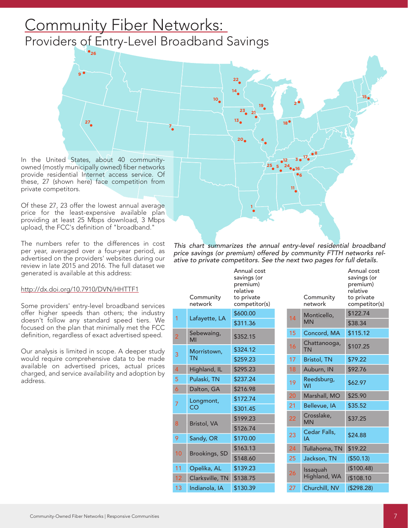# $\bullet$ <sub>26</sub> Community Fiber Networks: Providers of Entry-Level Broadband Savings

**7**

**10**

**13**

**23**

**20**

**14**

**22**

In the United States, about 40 communityowned (mostly municipally owned) fiber networks provide residential Internet access service. Of these, 27 (shown here) face competition from private competitors.

**27**

**9**

Of these 27, 23 offer the lowest annual average price for the least-expensive available plan providing at least 25 Mbps download, 3 Mbps upload, the FCC's definition of "broadband."

The numbers refer to the differences in cost per year, averaged over a four-year period, as advertised on the providers' websites during our review in late 2015 and 2016. The full dataset we generated is available at this address:

#### http://dx.doi.org/10.7910/DVN/HHTTF1

Some providers' entry-level broadband services offer higher speeds than others; the industry doesn't follow any standard speed tiers. We focused on the plan that minimally met the FCC definition, regardless of exact advertised speed.

Our analysis is limited in scope. A deeper study would require comprehensive data to be made available on advertised prices, actual prices charged, and service availability and adoption by address.

This chart summarizes the annual entry-level residential broadband price savings (or premium) offered by community FTTH networks relative to private competitors. See the next two pages for full details.

**5**

**25 24**

**12**

**18**

**2**

**3**

**16**

**11**

**6**

**17**

**8**

**15**

**1**

**4**

**19**

**21**

|                | Community<br>network | Annual cost<br>savings (or<br>premium)<br>relative<br>to private<br>competitor(s) |  |    | Community<br>network      | Annual cost<br>savings (or<br>premium)<br>relative<br>to private<br>competitor(s) |  |
|----------------|----------------------|-----------------------------------------------------------------------------------|--|----|---------------------------|-----------------------------------------------------------------------------------|--|
| 1              |                      | \$600.00                                                                          |  | 14 | Monticello,               | \$122.74                                                                          |  |
|                | Lafayette, LA        | \$311.36                                                                          |  |    | <b>MN</b>                 | \$38.34                                                                           |  |
| $\overline{2}$ | Sebewaing,           | \$352.15                                                                          |  | 15 | Concord, MA               | \$115.12                                                                          |  |
|                | MI<br>Morristown,    | \$324.12                                                                          |  | 16 | Chattanooga,<br><b>TN</b> | \$107.25                                                                          |  |
| 3              | TN                   | \$259.23                                                                          |  | 17 | <b>Bristol, TN</b>        | \$79.22                                                                           |  |
| 4              | Highland, IL         | \$295.23                                                                          |  | 18 | Auburn, IN                | \$92.76                                                                           |  |
| 5              | Pulaski, TN          | \$237.24                                                                          |  | 19 | Reedsburg,                | \$62.97                                                                           |  |
| 6              | Dalton, GA           | \$216.98                                                                          |  |    | WI                        |                                                                                   |  |
|                | Longmont,<br>CO      | \$172.74                                                                          |  | 20 | Marshall, MO              | \$25.90                                                                           |  |
| 7              |                      | \$301.45                                                                          |  | 21 | Bellevue, IA              | \$35.52                                                                           |  |
| 8              | Bristol, VA          | \$199.23                                                                          |  | 22 | Crosslake,<br><b>MN</b>   | \$37.25                                                                           |  |
|                |                      | \$126.74                                                                          |  |    | Cedar Falls,              |                                                                                   |  |
| 9              | Sandy, OR            | \$170.00                                                                          |  | 23 | IA                        | \$24.88                                                                           |  |
| 10             | Brookings, SD        | \$163.13                                                                          |  | 24 | Tullahoma, TN             | \$19.22                                                                           |  |
|                |                      | \$148.60                                                                          |  | 25 | Jackson, TN               | ( \$50.13)                                                                        |  |
| 11             | Opelika, AL          | \$139.23                                                                          |  | 26 | Issaquah                  | (\$100.48)                                                                        |  |
| 12             | Clarksville, TN      | \$138.75                                                                          |  |    | Highland, WA              | (\$108.10                                                                         |  |
| 13             | Indianola, IA        | \$130.39                                                                          |  | 27 | Churchill, NV             | (\$298.28)                                                                        |  |
|                |                      |                                                                                   |  |    |                           |                                                                                   |  |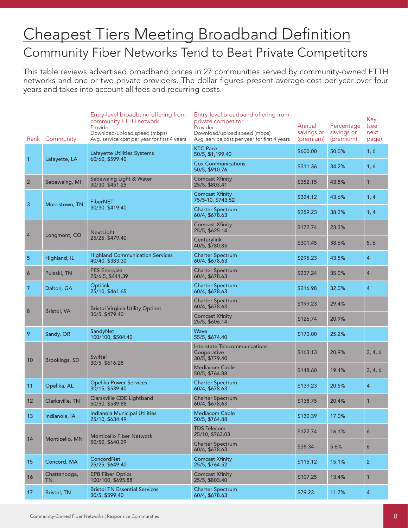# Cheapest Tiers Meeting Broadband Definition

# Community Fiber Networks Tend to Beat Private Competitors

This table reviews advertised broadband prices in 27 communities served by community-owned FTTH networks and one or two private providers. The dollar figures present average cost per year over four years and takes into account all fees and recurring costs.

|                | Rank Community     | Entry-level broadband offering from<br>community FTTH network<br>Provider<br>Download/upload speed (mbps)<br>Avg. service cost per year for first 4 years | Entry-level broadband offering from<br>private competitor<br>Provider<br>Download/upload speed (mbps)<br>Avg. service cost per year for first 4 years | Annual<br>savings or<br>(premium) | Percentage<br>savings or<br>(premium) | Key<br>(see<br>next<br>page) |
|----------------|--------------------|-----------------------------------------------------------------------------------------------------------------------------------------------------------|-------------------------------------------------------------------------------------------------------------------------------------------------------|-----------------------------------|---------------------------------------|------------------------------|
|                | Lafayette, LA      | Lafayette Utilities Systems<br>60/60, \$599.40                                                                                                            | <b>KTC Pace</b><br>50/5, \$1,199.40                                                                                                                   | \$600.00                          | 50.0%                                 | 1, 6                         |
| $\mathbf{1}$   |                    |                                                                                                                                                           | <b>Cox Communications</b><br>50/5, \$910.76                                                                                                           | \$311.36                          | 34.2%                                 | 1, 6                         |
| $\overline{2}$ | Sebewaing, MI      | Sebewaing Light & Water<br>30/30, \$451.25                                                                                                                | <b>Comcast Xfinity</b><br>25/5, \$803.41                                                                                                              | \$352.15                          | 43.8%                                 | $\mathbf{1}$                 |
| 3              | Morristown, TN     | <b>FiberNET</b><br>30/30, \$419.40                                                                                                                        | <b>Comcast Xfinity</b><br>75/5-10, \$743.52                                                                                                           | \$324.12                          | 43.6%                                 | 1, 4                         |
|                |                    |                                                                                                                                                           | <b>Charter Spectrum</b><br>60/4, \$678.63                                                                                                             | \$259.23                          | 38.2%                                 | 1, 4                         |
| 4              | Longmont, CO       | NextLight<br>25/25, \$479.40                                                                                                                              | <b>Comcast Xfinity</b><br>25/5, \$625.14                                                                                                              | \$172.74                          | 23.3%                                 |                              |
|                |                    |                                                                                                                                                           | Centurylink<br>40/5, \$780.85                                                                                                                         | \$301.45                          | 38.6%                                 | 5, 6                         |
| 5              | Highland, IL       | <b>Highland Communication Services</b><br>40/40, \$383.30                                                                                                 | <b>Charter Spectrum</b><br>60/4, \$678.63                                                                                                             | \$295.23                          | 43.5%                                 | 4                            |
| 6              | Pulaski, TN        | <b>PES Energize</b><br>25/6.5, \$441.39                                                                                                                   | <b>Charter Spectrum</b><br>60/4, \$678.63                                                                                                             | \$237.24                          | 35.0%                                 | $\overline{4}$               |
| 7              | Dalton, GA         | <b>Optilink</b><br>25/10, \$461.65                                                                                                                        | <b>Charter Spectrum</b><br>60/4, \$678.63                                                                                                             | \$216.98                          | 32.0%                                 | $\overline{4}$               |
|                | Bristol, VA        | <b>Bristol Virginia Utility Optinet</b><br>30/5, \$479.40                                                                                                 | <b>Charter Spectrum</b><br>60/4, \$678.63                                                                                                             | \$199.23                          | 29.4%                                 |                              |
| 8              |                    |                                                                                                                                                           | <b>Comcast Xfinity</b><br>25/5, \$606.14                                                                                                              | \$126.74                          | 20.9%                                 |                              |
| 9              | Sandy, OR          | SandyNet<br>100/100, \$504.40                                                                                                                             | Wave<br>55/5, \$674.40                                                                                                                                | \$170.00                          | 25.2%                                 |                              |
| 10             | Brookings, SD      | Swiftel<br>30/5, \$616.28                                                                                                                                 | Interstate Telecommunications<br>Cooperative<br>30/5, \$779.40                                                                                        | \$163.13                          | 20.9%                                 | 3, 4, 6                      |
|                |                    |                                                                                                                                                           | Mediacom Cable<br>50/5, \$764.88                                                                                                                      | \$148.60                          | 19.4%                                 | 3, 4, 6                      |
| 11             | Opelika, AL        | <b>Opelika Power Services</b><br>30/15, \$539.40                                                                                                          | <b>Charter Spectrum</b><br>60/4, \$678.63                                                                                                             | \$139.23                          | 20.5%                                 | 4                            |
| 12             | Clarksville, TN    | Clarskville CDE Lightband<br>50/50, \$539.88                                                                                                              | <b>Charter Spectrum</b><br>60/4, \$678.63                                                                                                             | \$138.75                          | 20.4%                                 | 1                            |
| 13             | Indianola, IA      | Indianola Municipal Utilities<br>25/10, \$634.49                                                                                                          | <b>Mediacom Cable</b><br>50/5, \$764.88                                                                                                               | \$130.39                          | 17.0%                                 |                              |
| 14             | Monticello, MN     | <b>Monticello Fiber Network</b><br>50/50, \$640.29                                                                                                        | <b>TDS Telecom</b><br>25/10, \$763.03                                                                                                                 | \$122.74                          | 16.1%                                 | 6                            |
|                |                    |                                                                                                                                                           | <b>Charter Spectrum</b><br>60/4, \$678.63                                                                                                             | \$38.34                           | 5.6%                                  | 6                            |
| 15             | Concord, MA        | ConcordNet<br>25/25, \$649.40                                                                                                                             | <b>Comcast Xfinity</b><br>25/5, \$764.52                                                                                                              | \$115.12                          | 15.1%                                 | $\overline{2}$               |
| 16             | Chattanooga,<br>TN | <b>EPB Fiber Optics</b><br>100/100, \$695.88                                                                                                              | <b>Comcast Xfinity</b><br>25/5, \$803.40                                                                                                              | \$107.25                          | 13.4%                                 | $\mathbf{1}$                 |
| 17             | <b>Bristol, TN</b> | <b>Bristol TN Essential Services</b><br>30/5, \$599.40                                                                                                    | <b>Charter Spectrum</b><br>60/4, \$678.63                                                                                                             | \$79.23                           | 11.7%                                 | 4                            |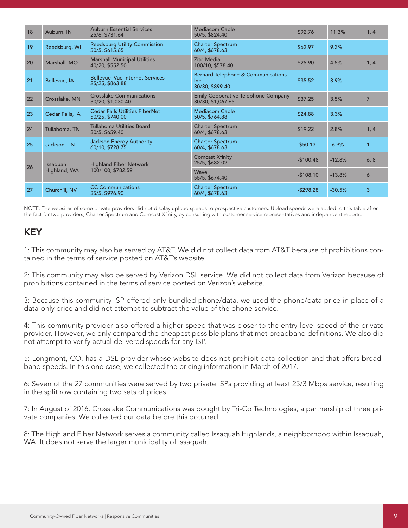| 18 | Auburn, IN               | <b>Auburn Essential Services</b><br>25/6, \$731.64        | Mediacom Cable<br>50/5, \$824.40                                         | \$92.76      | 11.3%    | 1, 4 |
|----|--------------------------|-----------------------------------------------------------|--------------------------------------------------------------------------|--------------|----------|------|
| 19 | Reedsburg, WI            | <b>Reedsburg Utility Commission</b><br>50/5, \$615.65     | <b>Charter Spectrum</b><br>60/4, \$678.63                                | \$62.97      | 9.3%     |      |
| 20 | Marshall, MO             | <b>Marshall Municipal Utilities</b><br>40/20, \$552.50    | <b>Zito Media</b><br>100/10, \$578.40                                    | \$25.90      | 4.5%     | 1, 4 |
| 21 | Bellevue, IA             | <b>Bellevue iVue Internet Services</b><br>25/25, \$863.88 | <b>Bernard Telephone &amp; Communications</b><br>Inc.<br>30/30, \$899.40 | \$35.52      | 3.9%     |      |
| 22 | Crosslake, MN            | <b>Crosslake Communications</b><br>30/20, \$1,030.40      | <b>Emily Cooperative Telephone Company</b><br>30/30, \$1,067.65          | \$37.25      | 3.5%     | 7    |
| 23 | Cedar Falls, IA          | <b>Cedar Falls Utilities FiberNet</b><br>50/25, \$740.00  | <b>Mediacom Cable</b><br>50/5, \$764.88                                  | \$24.88      | 3.3%     |      |
| 24 | Tullahoma, TN            | <b>Tullahoma Utilities Board</b><br>30/5, \$659.40        | <b>Charter Spectrum</b><br>60/4, \$678.63                                | \$19.22      | 2.8%     | 1, 4 |
| 25 | Jackson, TN              | Jackson Energy Authority<br>60/10, \$728.75               | <b>Charter Spectrum</b><br>60/4, \$678.63                                | $-$50.13$    | $-6.9%$  | 1    |
| 26 | Issaguah<br>Highland, WA | <b>Highland Fiber Network</b><br>100/100, \$782.59        | <b>Comcast Xfinity</b><br>25/5, \$682.02                                 | $-$100.48$   | $-12.8%$ | 6, 8 |
|    |                          |                                                           | Wave<br>55/5, \$674.40                                                   | $-$108.10$   | $-13.8%$ | 6    |
| 27 | Churchill, NV            | <b>CC Communications</b><br>35/5, \$976.90                | <b>Charter Spectrum</b><br>60/4, \$678.63                                | $-$ \$298.28 | $-30.5%$ | 3    |

NOTE: The websites of some private providers did not display upload speeds to prospective customers. Upload speeds were added to this table after the fact for two providers, Charter Spectrum and Comcast Xfinity, by consulting with customer service representatives and independent reports.

# KEY

1: This community may also be served by AT&T. We did not collect data from AT&T because of prohibitions contained in the terms of service posted on AT&T's website.

2: This community may also be served by Verizon DSL service. We did not collect data from Verizon because of prohibitions contained in the terms of service posted on Verizon's website.

3: Because this community ISP offered only bundled phone/data, we used the phone/data price in place of a data-only price and did not attempt to subtract the value of the phone service.

4: This community provider also offered a higher speed that was closer to the entry-level speed of the private provider. However, we only compared the cheapest possible plans that met broadband definitions. We also did not attempt to verify actual delivered speeds for any ISP.

5: Longmont, CO, has a DSL provider whose website does not prohibit data collection and that offers broadband speeds. In this one case, we collected the pricing information in March of 2017.

6: Seven of the 27 communities were served by two private ISPs providing at least 25/3 Mbps service, resulting in the split row containing two sets of prices.

7: In August of 2016, Crosslake Communications was bought by Tri-Co Technologies, a partnership of three private companies. We collected our data before this occurred.

8: The Highland Fiber Network serves a community called Issaquah Highlands, a neighborhood within Issaquah, WA. It does not serve the larger municipality of Issaquah.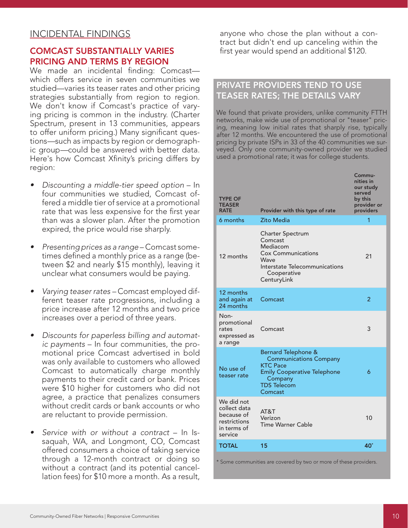# INCIDENTAL FINDINGS

#### COMCAST SUBSTANTIALLY VARIES PRICING AND TERMS BY REGION

We made an incidental finding: Comcast which offers service in seven communities we studied—varies its teaser rates and other pricing strategies substantially from region to region. We don't know if Comcast's practice of varying pricing is common in the industry. (Charter Spectrum, present in 13 communities, appears to offer uniform pricing.) Many significant questions*—*such as impacts by region or demographic group*—*could be answered with better data. Here's how Comcast Xfinity's pricing differs by region:

- *• Discounting a middle-tier speed option* In four communities we studied, Comcast offered a middle tier of service at a promotional rate that was less expensive for the first year than was a slower plan. After the promotion expired, the price would rise sharply.
- *• Presenting prices as a range* Comcast sometimes defined a monthly price as a range (between \$2 and nearly \$15 monthly), leaving it unclear what consumers would be paying.
- *• Varying teaser rates* Comcast employed different teaser rate progressions, including a price increase after 12 months and two price increases over a period of three years.
- *• Discounts for paperless billing and automatic payments* – In four communities, the promotional price Comcast advertised in bold was only available to customers who allowed Comcast to automatically charge monthly payments to their credit card or bank. Prices were \$10 higher for customers who did not agree, a practice that penalizes consumers without credit cards or bank accounts or who are reluctant to provide permission.
- *• Service with or without a contract* In Issaquah, WA, and Longmont, CO, Comcast offered consumers a choice of taking service through a 12-month contract or doing so without a contract (and its potential cancellation fees) for \$10 more a month. As a result,

anyone who chose the plan without a contract but didn't end up canceling within the first year would spend an additional \$120.

## PRIVATE PROVIDERS TEND TO USE TEASER RATES; THE DETAILS VARY

We found that private providers, unlike community FTTH networks, make wide use of promotional or "teaser" pricing, meaning low initial rates that sharply rise, typically after 12 months. We encountered the use of promotional pricing by private ISPs in 33 of the 40 communities we surveyed. Only one community-owned provider we studied used a promotional rate; it was for college students.

| <b>TYPE OF</b><br><b>TEASER</b><br><b>RATE</b>                                     | Provider with this type of rate                                                                                                                                      | Commu-<br>nities in<br>our study<br>served<br>by this<br>provider or<br>providers |
|------------------------------------------------------------------------------------|----------------------------------------------------------------------------------------------------------------------------------------------------------------------|-----------------------------------------------------------------------------------|
| 6 months                                                                           | Zito Media                                                                                                                                                           | 1                                                                                 |
| 12 months                                                                          | <b>Charter Spectrum</b><br>Comcast<br>Mediacom<br><b>Cox Communications</b><br>Wave<br>Interstate Telecommunications<br>Cooperative<br>CenturyLink                   | 21                                                                                |
| 12 months<br>and again at<br>24 months                                             | Comcast                                                                                                                                                              | 2                                                                                 |
| Non-<br>promotional<br>rates<br>expressed as<br>a range                            | Comcast                                                                                                                                                              | 3                                                                                 |
| No use of<br>teaser rate                                                           | <b>Bernard Telephone &amp;</b><br><b>Communications Company</b><br><b>KTC Pace</b><br><b>Emily Cooperative Telephone</b><br>Company<br><b>TDS Telecom</b><br>Comcast | 6                                                                                 |
| We did not<br>collect data<br>because of<br>restrictions<br>in terms of<br>service | AT&T<br>Verizon<br><b>Time Warner Cable</b>                                                                                                                          | 10                                                                                |
| <b>TOTAL</b>                                                                       | 15                                                                                                                                                                   | 40*                                                                               |
|                                                                                    |                                                                                                                                                                      |                                                                                   |

\* Some communities are covered by two or more of these providers.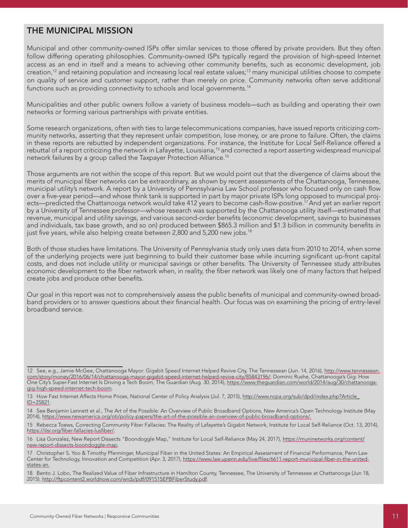# THE MUNICIPAL MISSION

Municipal and other community-owned ISPs offer similar services to those offered by private providers. But they often follow differing operating philosophies. Community-owned ISPs typically regard the provision of high-speed Internet access as an end in itself and a means to achieving other community benefits, such as economic development, job creation,<sup>12</sup> and retaining population and increasing local real estate values;<sup>13</sup> many municipal utilities choose to compete on quality of service and customer support, rather than merely on price. Community networks often serve additional functions such as providing connectivity to schools and local governments.<sup>14</sup>

Municipalities and other public owners follow a variety of business models—such as building and operating their own networks or forming various partnerships with private entities.

Some research organizations, often with ties to large telecommunications companies, have issued reports criticizing community networks, asserting that they represent unfair competition, lose money, or are prone to failure. Often, the claims in these reports are rebutted by independent organizations. For instance, the Institute for Local Self-Reliance offered a rebuttal of a report criticizing the network in Lafayette, Louisiana,<sup>15</sup> and corrected a report asserting widespread municipal network failures by a group called the Taxpayer Protection Alliance.16

Those arguments are not within the scope of this report. But we would point out that the divergence of claims about the merits of municipal fiber networks can be extraordinary, as shown by recent assessments of the Chattanooga, Tennessee, municipal utility's network. A report by a University of Pennsylvania Law School professor who focused only on cash flow over a five-year period—and whose think tank is supported in part by major private ISPs long opposed to municipal projects—predicted the Chattanooga network would take 412 years to become cash-flow-positive.<sup>17</sup>And yet an earlier report by a University of Tennessee professor—whose research was supported by the Chattanooga utility itself—estimated that revenue, municipal and utility savings, and various second-order benefits (economic development, savings to businesses and individuals, tax base growth, and so on) produced between \$865.3 million and \$1.3 billion in community benefits in just five years, while also helping create between 2,800 and 5,200 new jobs.<sup>18</sup>

Both of those studies have limitations. The University of Pennsylvania study only uses data from 2010 to 2014, when some of the underlying projects were just beginning to build their customer base while incurring significant up-front capital costs, and does not include utility or municipal savings or other benefits. The University of Tennessee study attributes economic development to the fiber network when, in reality, the fiber network was likely one of many factors that helped create jobs and produce other benefits.

Our goal in this report was not to comprehensively assess the public benefits of municipal and community-owned broadband providers or to answer questions about their financial health. Our focus was on examining the pricing of entry-level broadband service.

<sup>12</sup> See, e.g., Jamie McGee, Chattanooga Mayor: Gigabit Speed Internet Helped Revive City, The Tennessean (Jun. 14, 2016), http://www.tennessean. com/story/money/2016/06/14/chattanooga-mayor-gigabit-speed-internet-helped-revive-city/85843196/; Dominic Rushe, Chattanooga's Gig: How One City's Super-Fast Internet Is Driving a Tech Boom, The Guardian (Aug. 30, 2014), <u>https://www.theguardian.com/world/2014/aug/30/chattanooga</u>gig-high-speed-internet-tech-boom.

<sup>13</sup> How Fast Internet Affects Home Prices, National Center of Policy Analysis (Jul. 7, 2015), http://www.ncpa.org/sub/dpd/index.php?Article\_ ID=25821.

<sup>14</sup> See Benjamin Lennett et al., The Art of the Possible: An Overview of Public Broadband Options, New America's Open Technology Institute (May 2014), https://www.newamerica.org/oti/policy-papers/the-art-of-the-possible-an-overview-of-public-broadband-options/.

<sup>15</sup> Rebecca Toews, Correcting Community Fiber Fallacies: The Reality of Lafayette's Gigabit Network, Institute for Local Self-Reliance (Oct. 13, 2014), https://ilsr.org/fiber-fallacies-lusfiber/.

<sup>16</sup> Lisa Gonzalez, New Report Dissects "Boondoggle Map," Institute for Local Self-Reliance (May 24, 2017), https://muninetworks.org/content/ new-report-dissects-boondoggle-map.

<sup>17</sup> Christopher S. Yoo & Timothy Pfenninger, Municipal Fiber in the United States: An Empirical Assessment of Financial Performance, Penn Law Center for Technology, Innovation and Competition (Apr. 3, 2017), https://www.law.upenn.edu/live/files/6611-report-municipal-fiber-in-the-unitedstates-an.

<sup>18</sup> Bento J. Lobo, The Realized Value of Fiber Infrastructure in Hamilton County, Tennessee, The University of Tennessee at Chattanooga (Jun 18, 2015), http://ftpcontent2.worldnow.com/wrcb/pdf/091515EPBFiberStudy.pdf.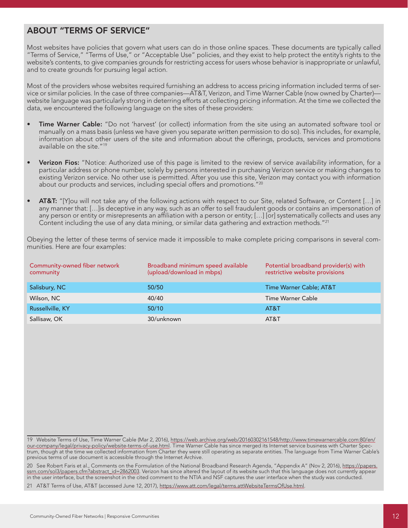### ABOUT "TERMS OF SERVICE"

Most websites have policies that govern what users can do in those online spaces. These documents are typically called "Terms of Service," "Terms of Use," or "Acceptable Use" policies, and they exist to help protect the entity's rights to the website's contents, to give companies grounds for restricting access for users whose behavior is inappropriate or unlawful, and to create grounds for pursuing legal action.

Most of the providers whose websites required furnishing an address to access pricing information included terms of service or similar policies. In the case of three companies—AT&T, Verizon, and Time Warner Cable (now owned by Charter) website language was particularly strong in deterring efforts at collecting pricing information. At the time we collected the data, we encountered the following language on the sites of these providers:

- Time Warner Cable: "Do not 'harvest' (or collect) information from the site using an automated software tool or manually on a mass basis (unless we have given you separate written permission to do so). This includes, for example, information about other users of the site and information about the offerings, products, services and promotions available on the site."19
- Verizon Fios: "Notice: Authorized use of this page is limited to the review of service availability information, for a particular address or phone number, solely by persons interested in purchasing Verizon service or making changes to existing Verizon service. No other use is permitted. After you use this site, Verizon may contact you with information about our products and services, including special offers and promotions."<sup>20</sup>
- AT&T: "[Y]ou will not take any of the following actions with respect to our Site, related Software, or Content […] in any manner that: […]is deceptive in any way, such as an offer to sell fraudulent goods or contains an impersonation of any person or entity or misrepresents an affiliation with a person or entity; […] [or] systematically collects and uses any Content including the use of any data mining, or similar data gathering and extraction methods."21

Obeying the letter of these terms of service made it impossible to make complete pricing comparisons in several communities. Here are four examples:

| Community-owned fiber network<br>community | Broadband minimum speed available<br>(upload/download in mbps) | Potential broadband provider(s) with<br>restrictive website provisions |
|--------------------------------------------|----------------------------------------------------------------|------------------------------------------------------------------------|
| Salisbury, NC                              | 50/50                                                          | <b>Time Warner Cable; AT&amp;T</b>                                     |
| Wilson, NC                                 | 40/40                                                          | <b>Time Warner Cable</b>                                               |
| Russellville, KY                           | 50/10                                                          | AT&T                                                                   |
| Sallisaw, OK                               | 30/unknown                                                     | AT&T                                                                   |

19 Website Terms of Use, Time Warner Cable (Mar 2, 2016), https://web.archive.org/web/20160302161548/http://www.timewarnercable.com:80/en/ our-company/legal/privacy-policy/website-terms-of-use.html. Time Warner Cable has since merged its Internet service business with Charter Spectrum, though at the time we collected information from Charter they were still operating as separate entities. The language from Time Warner Cable's previous terms of use document is accessible through the Internet Archive.

20 See Robert Faris et al., Comments on the Formulation of the National Broadband Research Agenda, "Appendix A" (Nov 2, 2016), https://papers. ssrn.com/sol3/papers.cfm?abstract\_id=2862003. Verizon has since altered the layout of its website such that this language does not currently appear in the user interface, but the screenshot in the cited comment to the NTIA and NSF captures the user interface when the study was conducted. 21 AT&T Terms of Use, AT&T (accessed June 12, 2017), https://www.att.com/legal/terms.attWebsiteTermsOfUse.html.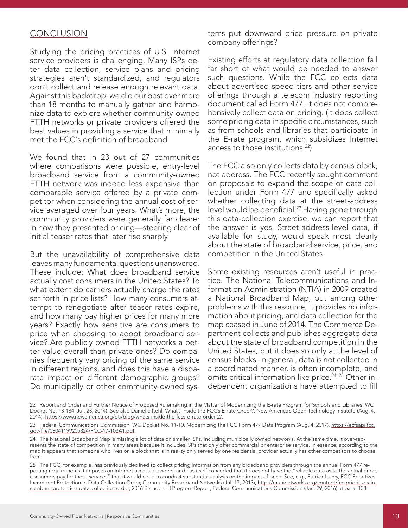#### **CONCLUSION**

Studying the pricing practices of U.S. Internet service providers is challenging. Many ISPs deter data collection, service plans and pricing strategies aren't standardized, and regulators don't collect and release enough relevant data. Against this backdrop, we did our best over more than 18 months to manually gather and harmonize data to explore whether community-owned FTTH networks or private providers offered the best values in providing a service that minimally met the FCC's definition of broadband.

We found that in 23 out of 27 communities where comparisons were possible, entry-level broadband service from a community-owned FTTH network was indeed less expensive than comparable service offered by a private competitor when considering the annual cost of service averaged over four years. What's more, the community providers were generally far clearer in how they presented pricing—steering clear of initial teaser rates that later rise sharply.

But the unavailability of comprehensive data leaves many fundamental questions unanswered. These include: What does broadband service actually cost consumers in the United States? To what extent do carriers actually charge the rates set forth in price lists? How many consumers attempt to renegotiate after teaser rates expire, and how many pay higher prices for many more years? Exactly how sensitive are consumers to price when choosing to adopt broadband service? Are publicly owned FTTH networks a better value overall than private ones? Do companies frequently vary pricing of the same service in different regions, and does this have a disparate impact on different demographic groups? Do municipally or other community-owned systems put downward price pressure on private company offerings?

Existing efforts at regulatory data collection fall far short of what would be needed to answer such questions. While the FCC collects data about advertised speed tiers and other service offerings through a telecom industry reporting document called Form 477, it does not comprehensively collect data on pricing. (It does collect some pricing data in specific circumstances, such as from schools and libraries that participate in the E-rate program, which subsidizes Internet access to those institutions.22)

The FCC also only collects data by census block, not address. The FCC recently sought comment on proposals to expand the scope of data collection under Form 477 and specifically asked whether collecting data at the street-address level would be beneficial.<sup>23</sup> Having gone through this data-collection exercise, we can report that the answer is yes. Street-address-level data, if available for study, would speak most clearly about the state of broadband service, price, and competition in the United States.

Some existing resources aren't useful in practice. The National Telecommunications and Information Administration (NTIA) in 2009 created a National Broadband Map, but among other problems with this resource, it provides no information about pricing, and data collection for the map ceased in June of 2014. The Commerce Department collects and publishes aggregate data about the state of broadband competition in the United States, but it does so only at the level of census blocks. In general, data is not collected in a coordinated manner, is often incomplete, and omits critical information like price.<sup>24, 25</sup> Other independent organizations have attempted to fill

<sup>22</sup> Report and Order and Further Notice of Proposed Rulemaking in the Matter of Modernizing the E-rate Program for Schools and Libraries, WC Docket No. 13-184 (Jul. 23, 2014). See also Danielle Kehl, What's Inside the FCC's E-rate Order?, New America's Open Technology Institute (Aug. 4, 2014), https://www.newamerica.org/oti/blog/whats-inside-the-fccs-e-rate-order-2/.

<sup>23</sup> Federal Communications Commission, WC Docket No. 11-10, Modernizing the FCC Form 477 Data Program (Aug. 4, 2017), https://ecfsapi.fcc. gov/file/08041199205324/FCC-17-103A1.pdf.

<sup>24</sup> The National Broadband Map is missing a lot of data on smaller ISPs, including municipally owned networks. At the same time, it over-represents the state of competition in many areas because it includes ISPs that only offer commercial or enterprise service. In essence, according to the map it appears that someone who lives on a block that is in reality only served by one residential provider actually has other competitors to choose from.

<sup>25</sup> The FCC, for example, has previously declined to collect pricing information from any broadband providers through the annual Form 477 reporting requirements it imposes on Internet access providers, and has itself conceded that it does not have the "reliable data as to the actual prices consumers pay for these services" that it would need to conduct substantial analysis on the impact of price. See, e.g., Patrick Lucey, FCC Prioritizes Incumbent Protection in Data Collection Order, Community Broadband Networks (Jul. 17, 2013), http://muninetworks.org/content/fcc-prioritizes-incumbent-protection-data-collection-order; 2016 Broadband Progress Report, Federal Communications Commission (Jan. 29, 2016) at para. 103.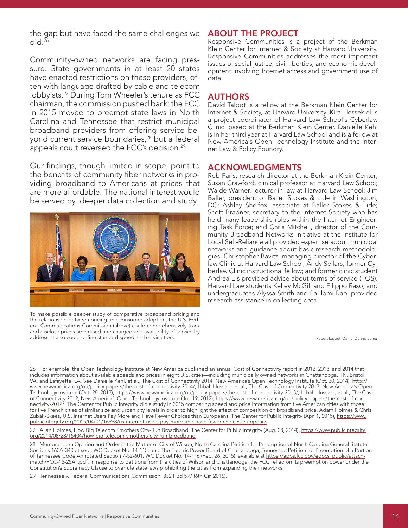the gap but have faced the same challenges we did  $26$ 

Community-owned networks are facing pressure. State governments in at least 20 states have enacted restrictions on these providers, often with language drafted by cable and telecom lobbyists.27 During Tom Wheeler's tenure as FCC chairman, the commission pushed back: the FCC in 2015 moved to preempt state laws in North Carolina and Tennessee that restrict municipal broadband providers from offering service beyond current service boundaries,<sup>28</sup> but a federal appeals court reversed the FCC's decision.29

Our findings, though limited in scope, point to the benefits of community fiber networks in providing broadband to Americans at prices that are more affordable. The national interest would be served by deeper data collection and study.



To make possible deeper study of comparative broadband pricing and the relationship between pricing and consumer adoption, the U.S. Federal Communications Commission (above) could comprehensively track and disclose prices advertised and charged and availability of service by address. It also could define standard speed and service tiers. The material of the standard speed and service tiers.

# ABOUT THE PROJECT

Responsive Communities is a project of the Berkman Klein Center for Internet & Society at Harvard University. Responsive Communities addresses the most important issues of social justice, civil liberties, and economic development involving Internet access and government use of data.

## AUTHORS

David Talbot is a fellow at the Berkman Klein Center for Internet & Society, at Harvard University. Kira Hessekiel is a project coordinator of Harvard Law School's Cyberlaw Clinic, based at the Berkman Klein Center. Danielle Kehl is in her third year at Harvard Law School and is a fellow at New America's Open Technology Institute and the Internet Law & Policy Foundry.

#### ACKNOWLEDGMENTS

Rob Faris, research director at the Berkman Klein Center; Susan Crawford, clinical professor at Harvard Law School; Waide Warner, lecturer in law at Harvard Law School; Jim Baller, president of Baller Stokes & Lide in Washington, DC; Ashley Shelfox, associate at Baller Stokes & Lide; Scott Bradner, secretary to the Internet Society who has held many leadership roles within the Internet Engineering Task Force; and Chris Mitchell, director of the Community Broadband Networks Initiative at the Institute for Local Self-Reliance all provided expertise about municipal networks and guidance about basic research methodologies. Christopher Bavitz, managing director of the Cyberlaw Clinic at Harvard Law School; Andy Sellars, former Cyberlaw Clinic instructional fellow; and former clinic student Andrea Els provided advice about terms of service (TOS). Harvard Law students Kelley McGill and Filippo Raso, and undergraduates Alyssa Smith and Paulomi Rao, provided research assistance in collecting data.

<sup>26</sup> For example, the Open Technology Institute at New America published an annual Cost of Connectivity report in 2012, 2013, and 2014 that includes information about available speeds and prices in eight U.S. cities—including municipally owned networks in Chattanooga, TN, Bristol, VA, and Lafayette, LA. See Danielle Kehl, et al., The Cost of Connectivity 2014, New America's Open Technology Institute (Oct. 30, 2014), http:// www.newamerica.org/oti/policy-papers/the-cost-of-connectivity-2014/; Hibah Hussain, et al., The Cost of Connectivity 2013, New America's Open Technology Institute (Oct. 28, 2013), <u>https://www.newamerica.org/oti/policy-papers/the-cost-of-connectivity-2013/</u>; Hibah Hussain, et al., The Cost of Connectivity 2012, New America's Open Technology Institute (Jul. 19, 2012), <u>https://www.newamerica.org/oti/policy-papers/the-cost-of-con-</u> nectivity-2012/. The Center for Public Integrity did a study in 2015 comparing speed and price information from five American cities with those for five French cities of similar size and urbanicity levels in order to highlight the effect of competition on broadband price. Adam Holmes & Chris Zubak-Skees, U.S. Internet Users Pay More and Have Fewer Choices than Europeans, The Center for Public Integrity (Apr. 1, 2015), https://www. publicintegrity.org/2015/04/01/16998/us-internet-users-pay-more-and-have-fewer-choices-europeans.

<sup>27</sup> Allan Holmes, How Big Telecom Smothers City-Run Broadband, The Center for Public Integrity (Aug. 28, 2014), https://www.publicintegrity. org/2014/08/28/15404/how-big-telecom-smothers-city-run-broadband.

<sup>28</sup> Memorandum Opinion and Order in the Matter of City of Wilson, North Carolina Petition for Preemption of North Carolina General Statute Sections 160A-340 et seq., WC Docket No. 14-115, and The Electric Power Board of Chattanooga, Tennessee Petition for Preemption of a Portion of Tennessee Code Annotated Section 7-52-601, WC Docket No. 14-116 (Feb. 26, 2015), available at https://apps.fcc.gov/edocs\_public/attachmatch/FCC-15-25A1.pdf. In response to petitions from the cities of Wilson and Chattanooga, the FCC relied on its preemption power under the Constitution's Supremacy Clause to overrule state laws prohibiting the cities from expanding their networks.

<sup>29</sup> Tennessee v. Federal Communications Commission, 832 F.3d 597 (6th Cir. 2016).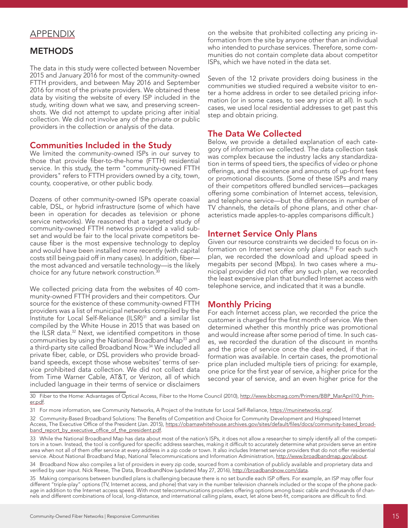# APPENDIX

# **METHODS**

The data in this study were collected between November 2015 and January 2016 for most of the community-owned FTTH providers, and between May 2016 and September 2016 for most of the private providers. We obtained these data by visiting the website of every ISP included in the study, writing down what we saw, and preserving screenshots. We did not attempt to update pricing after initial collection. We did not involve any of the private or public providers in the collection or analysis of the data.

#### Communities Included in the Study

We limited the community-owned ISPs in our survey to those that provide fiber-to-the-home (FTTH) residential service. In this study, the term "community-owned FTTH providers" refers to FTTH providers owned by a city, town, county, cooperative, or other public body.

Dozens of other community-owned ISPs operate coaxial cable, DSL, or hybrid infrastructure (some of which have been in operation for decades as television or phone service networks). We reasoned that a targeted study of community-owned FTTH networks provided a valid subset and would be fair to the local private competitors because fiber is the most expensive technology to deploy and would have been installed more recently (with capital costs still being paid off in many cases). In addition, fiber the most advanced and versatile technology—is the likely choice for any future network construction.<sup>3</sup>

We collected pricing data from the websites of 40 community-owned FTTH providers and their competitors. Our source for the existence of these community-owned FTTH providers was a list of municipal networks compiled by the Institute for Local Self-Reliance (ILSR)<sup>31</sup> and a similar list compiled by the White House in 2015 that was based on the ILSR data.<sup>32</sup> Next, we identified competitors in those communities by using the National Broadband Map<sup>33</sup> and a third-party site called Broadband Now.34 We included all private fiber, cable, or DSL providers who provide broadband speeds, except those whose websites' terms of service prohibited data collection. We did not collect data from Time Warner Cable, AT&T, or Verizon, all of which included language in their terms of service or disclaimers

on the website that prohibited collecting any pricing information from the site by anyone other than an individual who intended to purchase services. Therefore, some communities do not contain complete data about competitor ISPs, which we have noted in the data set.

Seven of the 12 private providers doing business in the communities we studied required a website visitor to enter a home address in order to see detailed pricing information (or in some cases, to see any price at all). In such cases, we used local residential addresses to get past this step and obtain pricing.

#### The Data We Collected

Below, we provide a detailed explanation of each category of information we collected. The data collection task was complex because the industry lacks any standardization in terms of speed tiers, the specifics of video or phone offerings, and the existence and amounts of up-front fees or promotional discounts. (Some of these ISPs and many of their competitors offered bundled services—packages offering some combination of Internet access, television, and telephone service—but the differences in number of TV channels, the details of phone plans, and other characteristics made apples-to-apples comparisons difficult.)

#### Internet Service Only Plans

Given our resource constraints we decided to focus on information on Internet service only plans.<sup>35</sup> For each such plan, we recorded the download and upload speed in megabits per second (Mbps). In two cases where a municipal provider did not offer any such plan, we recorded the least expensive plan that bundled Internet access with telephone service, and indicated that it was a bundle.

#### Monthly Pricing

For each Internet access plan, we recorded the price the customer is charged for the first month of service. We then determined whether this monthly price was promotional and would increase after some period of time. In such cases, we recorded the duration of the discount in months and the price of service once the deal ended, if that information was available. In certain cases, the promotional price plan included multiple tiers of pricing: for example, one price for the first year of service, a higher price for the second year of service, and an even higher price for the

35 Making comparisons between bundled plans is challenging because there is no set bundle each ISP offers. For example, an ISP may offer four different "triple-play" options (TV, Internet access, and phone) that vary in the number television channels included or the scope of the phone package in addition to the Internet access speed. With most telecommunications providers offering options among basic cable and thousands of channels and different combinations of local, long-distance, and international calling plans, exact, let alone best-fit, comparisons are difficult to find.

<sup>30</sup> Fiber to the Home: Advantages of Optical Access, Fiber to the Home Council (2010), http://www.bbcmag.com/Primers/BBP\_MarApril10\_Primer.pdf.

<sup>31</sup> For more information, see Community Networks, A Project of the Institute for Local Self-Reliance, https://muninetworks.org/.

<sup>32</sup> Community-Based Broadband Solutions: The Benefits of Competition and Choice for Community Development and Highspeed Internet Access, The Executive Office of the President (Jan. 2015), https://obamawhitehouse.archives.gov/sites/default/files/docs/community-based\_broadband\_report\_by\_executive\_office\_of\_the\_president.pdf.

<sup>33</sup> While the National Broadband Map has data about most of the nation's ISPs, it does not allow a researcher to simply identify all of the competitors in a town. Instead, the tool is configured for specific address searches, making it difficult to accurately determine what providers serve an entire area when not all of them offer service at every address in a zip code or town. It also includes Internet service providers that do not offer residential service. About National Broadband Map, National Telecommunications and Information Administration, http://www.broadbandmap.gov/about.

<sup>34</sup> Broadband Now also compiles a list of providers in every zip code, sourced from a combination of publicly available and proprietary data and verified by user input. Nick Reese, The Data, BroadbandNow (updated May 27, 2016), http://broadbandnow.com/data.